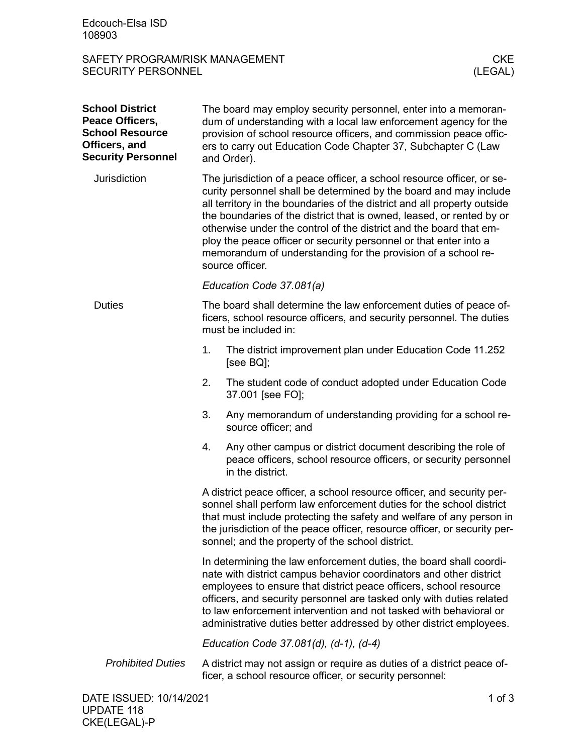## SAFETY PROGRAM/RISK MANAGEMENT<br>SECURITY PERSONNEL (LEGAL) SECURITY PERSONNEL

| <b>School District</b><br>Peace Officers,<br><b>School Resource</b><br>Officers, and<br><b>Security Personnel</b> |                                                                                                                                                                                                                                                                                                                                                                                                                                                                                                                                 | The board may employ security personnel, enter into a memoran-<br>dum of understanding with a local law enforcement agency for the<br>provision of school resource officers, and commission peace offic-<br>ers to carry out Education Code Chapter 37, Subchapter C (Law<br>and Order). |  |
|-------------------------------------------------------------------------------------------------------------------|---------------------------------------------------------------------------------------------------------------------------------------------------------------------------------------------------------------------------------------------------------------------------------------------------------------------------------------------------------------------------------------------------------------------------------------------------------------------------------------------------------------------------------|------------------------------------------------------------------------------------------------------------------------------------------------------------------------------------------------------------------------------------------------------------------------------------------|--|
| Jurisdiction                                                                                                      | The jurisdiction of a peace officer, a school resource officer, or se-<br>curity personnel shall be determined by the board and may include<br>all territory in the boundaries of the district and all property outside<br>the boundaries of the district that is owned, leased, or rented by or<br>otherwise under the control of the district and the board that em-<br>ploy the peace officer or security personnel or that enter into a<br>memorandum of understanding for the provision of a school re-<br>source officer. |                                                                                                                                                                                                                                                                                          |  |
|                                                                                                                   | Education Code 37.081(a)                                                                                                                                                                                                                                                                                                                                                                                                                                                                                                        |                                                                                                                                                                                                                                                                                          |  |
| <b>Duties</b>                                                                                                     | The board shall determine the law enforcement duties of peace of-<br>ficers, school resource officers, and security personnel. The duties<br>must be included in:                                                                                                                                                                                                                                                                                                                                                               |                                                                                                                                                                                                                                                                                          |  |
|                                                                                                                   | 1.                                                                                                                                                                                                                                                                                                                                                                                                                                                                                                                              | The district improvement plan under Education Code 11.252<br>[see $BQ$ ];                                                                                                                                                                                                                |  |
|                                                                                                                   | 2.                                                                                                                                                                                                                                                                                                                                                                                                                                                                                                                              | The student code of conduct adopted under Education Code<br>37.001 [see FO];                                                                                                                                                                                                             |  |
|                                                                                                                   | 3.                                                                                                                                                                                                                                                                                                                                                                                                                                                                                                                              | Any memorandum of understanding providing for a school re-<br>source officer; and                                                                                                                                                                                                        |  |
|                                                                                                                   | 4.                                                                                                                                                                                                                                                                                                                                                                                                                                                                                                                              | Any other campus or district document describing the role of<br>peace officers, school resource officers, or security personnel<br>in the district.                                                                                                                                      |  |
|                                                                                                                   | A district peace officer, a school resource officer, and security per-<br>sonnel shall perform law enforcement duties for the school district<br>that must include protecting the safety and welfare of any person in<br>the jurisdiction of the peace officer, resource officer, or security per-<br>sonnel; and the property of the school district.                                                                                                                                                                          |                                                                                                                                                                                                                                                                                          |  |
|                                                                                                                   | In determining the law enforcement duties, the board shall coordi-<br>nate with district campus behavior coordinators and other district<br>employees to ensure that district peace officers, school resource<br>officers, and security personnel are tasked only with duties related<br>to law enforcement intervention and not tasked with behavioral or<br>administrative duties better addressed by other district employees.                                                                                               |                                                                                                                                                                                                                                                                                          |  |
|                                                                                                                   | Education Code 37.081(d), (d-1), (d-4)                                                                                                                                                                                                                                                                                                                                                                                                                                                                                          |                                                                                                                                                                                                                                                                                          |  |
| <b>Prohibited Duties</b>                                                                                          |                                                                                                                                                                                                                                                                                                                                                                                                                                                                                                                                 | A district may not assign or require as duties of a district peace of-<br>ficer, a school resource officer, or security personnel:                                                                                                                                                       |  |
|                                                                                                                   |                                                                                                                                                                                                                                                                                                                                                                                                                                                                                                                                 |                                                                                                                                                                                                                                                                                          |  |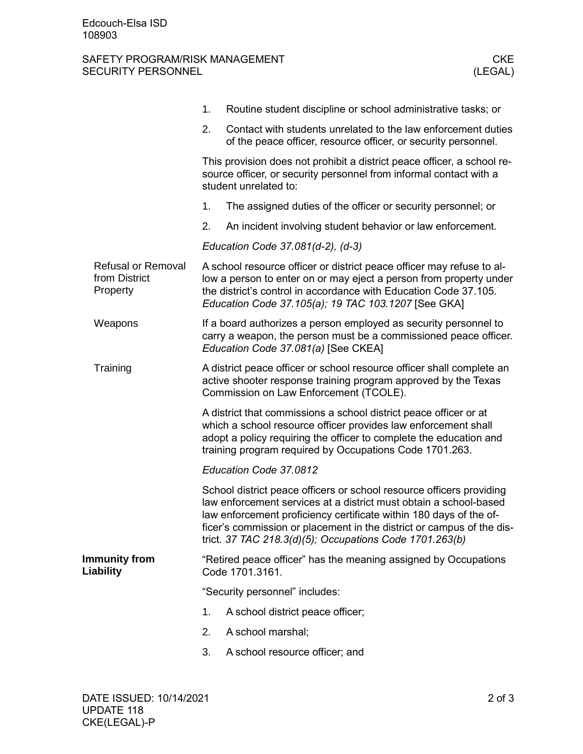## SAFETY PROGRAM/RISK MANAGEMENT<br>SECURITY PERSONNEL (LEGAL) SECURITY PERSONNEL

|                                                        |                                   | 1.                                                                                                                                                                                                                                                                                                                                                  | Routine student discipline or school administrative tasks; or                                                                                                               |  |  |
|--------------------------------------------------------|-----------------------------------|-----------------------------------------------------------------------------------------------------------------------------------------------------------------------------------------------------------------------------------------------------------------------------------------------------------------------------------------------------|-----------------------------------------------------------------------------------------------------------------------------------------------------------------------------|--|--|
|                                                        |                                   | 2.                                                                                                                                                                                                                                                                                                                                                  | Contact with students unrelated to the law enforcement duties<br>of the peace officer, resource officer, or security personnel.                                             |  |  |
|                                                        |                                   | This provision does not prohibit a district peace officer, a school re-<br>source officer, or security personnel from informal contact with a<br>student unrelated to:                                                                                                                                                                              |                                                                                                                                                                             |  |  |
|                                                        |                                   | 1.                                                                                                                                                                                                                                                                                                                                                  | The assigned duties of the officer or security personnel; or                                                                                                                |  |  |
|                                                        |                                   | 2.                                                                                                                                                                                                                                                                                                                                                  | An incident involving student behavior or law enforcement.                                                                                                                  |  |  |
|                                                        |                                   | Education Code 37.081(d-2), (d-3)                                                                                                                                                                                                                                                                                                                   |                                                                                                                                                                             |  |  |
| <b>Refusal or Removal</b><br>from District<br>Property |                                   | A school resource officer or district peace officer may refuse to al-<br>low a person to enter on or may eject a person from property under<br>the district's control in accordance with Education Code 37.105.<br>Education Code 37.105(a); 19 TAC 103.1207 [See GKA]                                                                              |                                                                                                                                                                             |  |  |
|                                                        | Weapons                           |                                                                                                                                                                                                                                                                                                                                                     | If a board authorizes a person employed as security personnel to<br>carry a weapon, the person must be a commissioned peace officer.<br>Education Code 37.081(a) [See CKEA] |  |  |
|                                                        | Training                          | A district peace officer or school resource officer shall complete an<br>active shooter response training program approved by the Texas<br>Commission on Law Enforcement (TCOLE).                                                                                                                                                                   |                                                                                                                                                                             |  |  |
|                                                        |                                   | A district that commissions a school district peace officer or at<br>which a school resource officer provides law enforcement shall<br>adopt a policy requiring the officer to complete the education and<br>training program required by Occupations Code 1701.263.                                                                                |                                                                                                                                                                             |  |  |
|                                                        |                                   | Education Code 37.0812                                                                                                                                                                                                                                                                                                                              |                                                                                                                                                                             |  |  |
|                                                        |                                   | School district peace officers or school resource officers providing<br>law enforcement services at a district must obtain a school-based<br>law enforcement proficiency certificate within 180 days of the of-<br>ficer's commission or placement in the district or campus of the dis-<br>trict. 37 TAC 218.3(d)(5); Occupations Code 1701.263(b) |                                                                                                                                                                             |  |  |
|                                                        | <b>Immunity from</b><br>Liability | "Retired peace officer" has the meaning assigned by Occupations<br>Code 1701.3161.                                                                                                                                                                                                                                                                  |                                                                                                                                                                             |  |  |
|                                                        |                                   | "Security personnel" includes:                                                                                                                                                                                                                                                                                                                      |                                                                                                                                                                             |  |  |
|                                                        |                                   | 1.                                                                                                                                                                                                                                                                                                                                                  | A school district peace officer;                                                                                                                                            |  |  |
|                                                        |                                   | 2.                                                                                                                                                                                                                                                                                                                                                  | A school marshal;                                                                                                                                                           |  |  |
|                                                        |                                   | 3.                                                                                                                                                                                                                                                                                                                                                  | A school resource officer; and                                                                                                                                              |  |  |
|                                                        |                                   |                                                                                                                                                                                                                                                                                                                                                     |                                                                                                                                                                             |  |  |